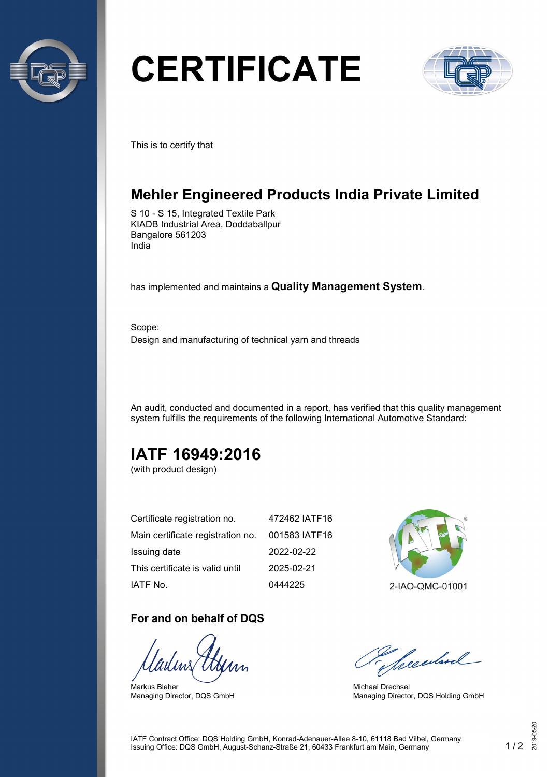

# **CERTIFICATE**



This is to certify that

# **Mehler Engineered Products India Private Limited**

S 10 - S 15, Integrated Textile Park KIADB Industrial Area, Doddaballpur Bangalore 561203 India

has implemented and maintains a **Quality Management System**.

Scope: Design and manufacturing of technical yarn and threads

An audit, conducted and documented in a report, has verified that this quality management system fulfills the requirements of the following International Automotive Standard:

# **IATF 16949:2016**

(with product design)

| Certificate registration no.      | 472462 IATF16 |
|-----------------------------------|---------------|
| Main certificate registration no. | 001583 IATF16 |
| Issuing date                      | 2022-02-22    |
| This certificate is valid until   | 2025-02-21    |
| IATF No.                          | 0444225       |

#### **For and on behalf of DQS**

Markus Bleher Managing Director, DQS GmbH



2-IAO-QMC-01001

Seculard

Michael Drechsel Managing Director, DQS Holding GmbH

IATF Contract Office: DQS Holding GmbH, Konrad-Adenauer-Allee 8-10, 61118 Bad Vilbel, Germany Issuing Office: DQS GmbH, August-Schanz-Straße 21, 60433 Frankfurt am Main, Germany 1 / 2